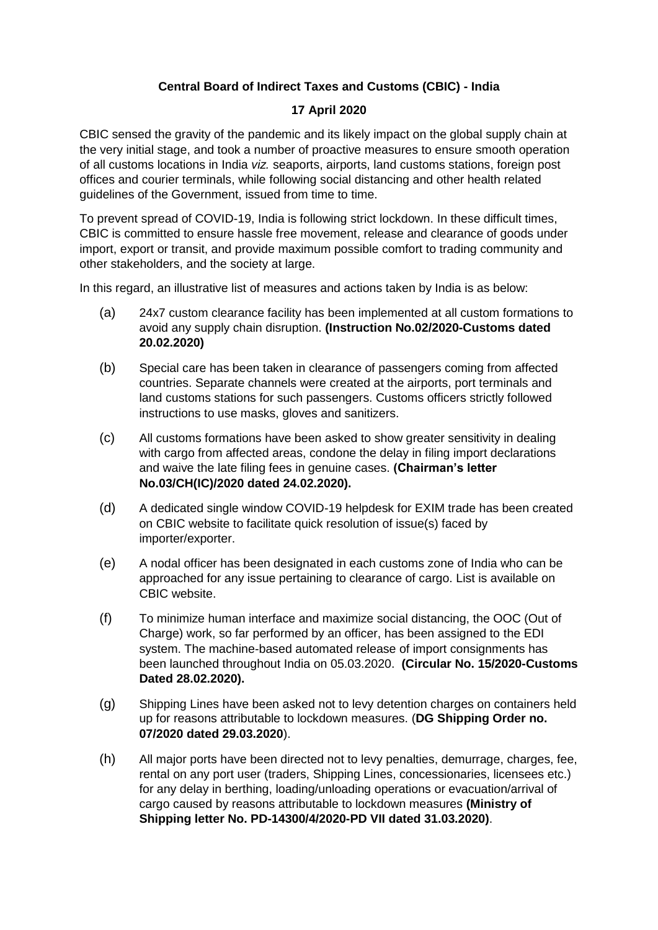## **Central Board of Indirect Taxes and Customs (CBIC) - India**

## **17 April 2020**

CBIC sensed the gravity of the pandemic and its likely impact on the global supply chain at the very initial stage, and took a number of proactive measures to ensure smooth operation of all customs locations in India *viz.* seaports, airports, land customs stations, foreign post offices and courier terminals, while following social distancing and other health related guidelines of the Government, issued from time to time.

To prevent spread of COVID-19, India is following strict lockdown. In these difficult times, CBIC is committed to ensure hassle free movement, release and clearance of goods under import, export or transit, and provide maximum possible comfort to trading community and other stakeholders, and the society at large.

In this regard, an illustrative list of measures and actions taken by India is as below:

- (a) 24x7 custom clearance facility has been implemented at all custom formations to avoid any supply chain disruption. **(Instruction No.02/2020-Customs dated 20.02.2020)**
- (b) Special care has been taken in clearance of passengers coming from affected countries. Separate channels were created at the airports, port terminals and land customs stations for such passengers. Customs officers strictly followed instructions to use masks, gloves and sanitizers.
- (c) All customs formations have been asked to show greater sensitivity in dealing with cargo from affected areas, condone the delay in filing import declarations and waive the late filing fees in genuine cases. **(Chairman's letter No.03/CH(IC)/2020 dated 24.02.2020).**
- (d) A dedicated single window COVID-19 helpdesk for EXIM trade has been created on CBIC website to facilitate quick resolution of issue(s) faced by importer/exporter.
- (e) A nodal officer has been designated in each customs zone of India who can be approached for any issue pertaining to clearance of cargo. List is available on CBIC website.
- (f) To minimize human interface and maximize social distancing, the OOC (Out of Charge) work, so far performed by an officer, has been assigned to the EDI system. The machine-based automated release of import consignments has been launched throughout India on 05.03.2020. **(Circular No. 15/2020-Customs Dated 28.02.2020).**
- (g) Shipping Lines have been asked not to levy detention charges on containers held up for reasons attributable to lockdown measures. (**DG Shipping Order no. 07/2020 dated 29.03.2020**).
- (h) All major ports have been directed not to levy penalties, demurrage, charges, fee, rental on any port user (traders, Shipping Lines, concessionaries, licensees etc.) for any delay in berthing, loading/unloading operations or evacuation/arrival of cargo caused by reasons attributable to lockdown measures **(Ministry of Shipping letter No. PD-14300/4/2020-PD VII dated 31.03.2020)**.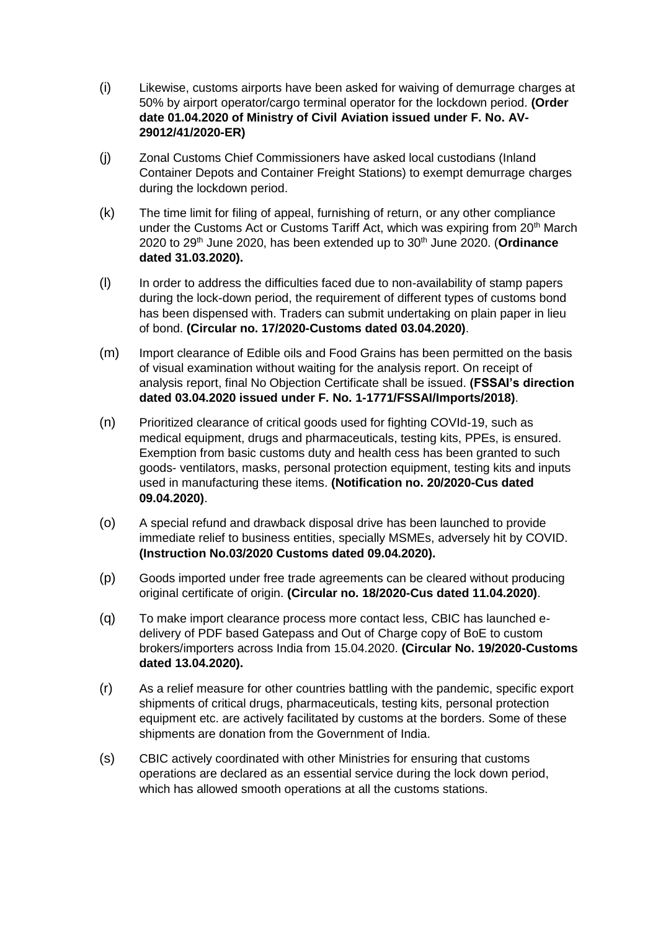- (i) Likewise, customs airports have been asked for waiving of demurrage charges at 50% by airport operator/cargo terminal operator for the lockdown period. **(Order date 01.04.2020 of Ministry of Civil Aviation issued under F. No. AV-29012/41/2020-ER)**
- (j) Zonal Customs Chief Commissioners have asked local custodians (Inland Container Depots and Container Freight Stations) to exempt demurrage charges during the lockdown period.
- (k) The time limit for filing of appeal, furnishing of return, or any other compliance under the Customs Act or Customs Tariff Act, which was expiring from 20<sup>th</sup> March 2020 to 29th June 2020, has been extended up to 30th June 2020. (**Ordinance dated 31.03.2020).**
- (l) In order to address the difficulties faced due to non-availability of stamp papers during the lock-down period, the requirement of different types of customs bond has been dispensed with. Traders can submit undertaking on plain paper in lieu of bond. **(Circular no. 17/2020-Customs dated 03.04.2020)**.
- (m) Import clearance of Edible oils and Food Grains has been permitted on the basis of visual examination without waiting for the analysis report. On receipt of analysis report, final No Objection Certificate shall be issued. **(FSSAI's direction dated 03.04.2020 issued under F. No. 1-1771/FSSAI/Imports/2018)**.
- (n) Prioritized clearance of critical goods used for fighting COVId-19, such as medical equipment, drugs and pharmaceuticals, testing kits, PPEs, is ensured. Exemption from basic customs duty and health cess has been granted to such goods- ventilators, masks, personal protection equipment, testing kits and inputs used in manufacturing these items. **(Notification no. 20/2020-Cus dated 09.04.2020)**.
- (o) A special refund and drawback disposal drive has been launched to provide immediate relief to business entities, specially MSMEs, adversely hit by COVID. **(Instruction No.03/2020 Customs dated 09.04.2020).**
- (p) Goods imported under free trade agreements can be cleared without producing original certificate of origin. **(Circular no. 18/2020-Cus dated 11.04.2020)**.
- (q) To make import clearance process more contact less, CBIC has launched edelivery of PDF based Gatepass and Out of Charge copy of BoE to custom brokers/importers across India from 15.04.2020. **(Circular No. 19/2020-Customs dated 13.04.2020).**
- (r) As a relief measure for other countries battling with the pandemic, specific export shipments of critical drugs, pharmaceuticals, testing kits, personal protection equipment etc. are actively facilitated by customs at the borders. Some of these shipments are donation from the Government of India.
- (s) CBIC actively coordinated with other Ministries for ensuring that customs operations are declared as an essential service during the lock down period, which has allowed smooth operations at all the customs stations.